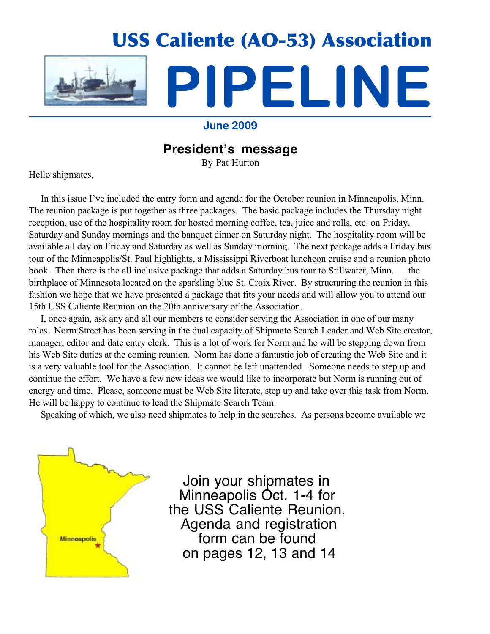

### **June 2009**

## **President's message**

By Pat Hurton

Hello shipmates,

 In this issue I've included the entry form and agenda for the October reunion in Minneapolis, Minn. The reunion package is put together as three packages. The basic package includes the Thursday night reception, use of the hospitality room for hosted morning coffee, tea, juice and rolls, etc. on Friday, Saturday and Sunday mornings and the banquet dinner on Saturday night. The hospitality room will be available all day on Friday and Saturday as well as Sunday morning. The next package adds a Friday bus tour of the Minneapolis/St. Paul highlights, a Mississippi Riverboat luncheon cruise and a reunion photo book. Then there is the all inclusive package that adds a Saturday bus tour to Stillwater, Minn. — the birthplace of Minnesota located on the sparkling blue St. Croix River. By structuring the reunion in this fashion we hope that we have presented a package that fits your needs and will allow you to attend our 15th USS Caliente Reunion on the 20th anniversary of the Association.

I, once again, ask any and all our members to consider serving the Association in one of our many roles. Norm Street has been serving in the dual capacity of Shipmate Search Leader and Web Site creator, manager, editor and date entry clerk. This is a lot of work for Norm and he will be stepping down from his Web Site duties at the coming reunion. Norm has done a fantastic job of creating the Web Site and it is a very valuable tool for the Association. It cannot be left unattended. Someone needs to step up and continue the effort. We have a few new ideas we would like to incorporate but Norm is running out of energy and time. Please, someone must be Web Site literate, step up and take over this task from Norm. He will be happy to continue to lead the Shipmate Search Team.

Speaking of which, we also need shipmates to help in the searches. As persons become available we



Join your shipmates in Minneapolis Oct. 1-4 for the USS Caliente Reunion. Agenda and registration form can be found on pages 12, 13 and 14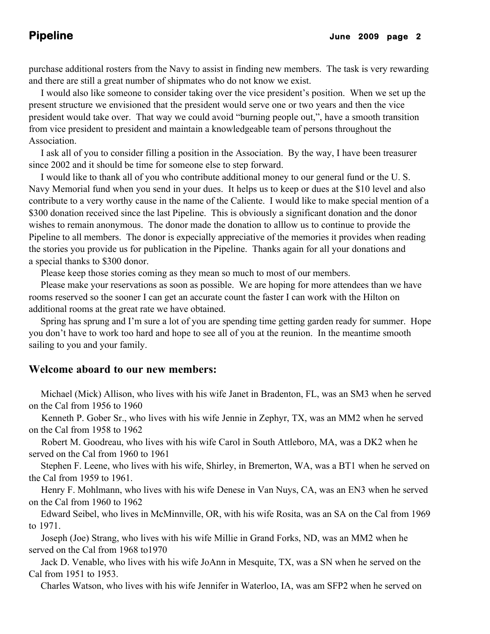purchase additional rosters from the Navy to assist in finding new members. The task is very rewarding and there are still a great number of shipmates who do not know we exist.

 I would also like someone to consider taking over the vice president's position. When we set up the present structure we envisioned that the president would serve one or two years and then the vice president would take over. That way we could avoid "burning people out,", have a smooth transition from vice president to president and maintain a knowledgeable team of persons throughout the Association.

 I ask all of you to consider filling a position in the Association. By the way, I have been treasurer since 2002 and it should be time for someone else to step forward.

I would like to thank all of you who contribute additional money to our general fund or the U. S. Navy Memorial fund when you send in your dues. It helps us to keep or dues at the \$10 level and also contribute to a very worthy cause in the name of the Caliente. I would like to make special mention of a \$300 donation received since the last Pipeline. This is obviously a significant donation and the donor wishes to remain anonymous. The donor made the donation to alllow us to continue to provide the Pipeline to all members. The donor is expecially appreciative of the memories it provides when reading the stories you provide us for publication in the Pipeline. Thanks again for all your donations and a special thanks to \$300 donor.

Please keep those stories coming as they mean so much to most of our members.

Please make your reservations as soon as possible. We are hoping for more attendees than we have rooms reserved so the sooner I can get an accurate count the faster I can work with the Hilton on additional rooms at the great rate we have obtained.

Spring has sprung and I'm sure a lot of you are spending time getting garden ready for summer. Hope you don't have to work too hard and hope to see all of you at the reunion. In the meantime smooth sailing to you and your family.

### **Welcome aboard to our new members:**

 Michael (Mick) Allison, who lives with his wife Janet in Bradenton, FL, was an SM3 when he served on the Cal from 1956 to 1960

Kenneth P. Gober Sr., who lives with his wife Jennie in Zephyr, TX, was an MM2 when he served on the Cal from 1958 to 1962

Robert M. Goodreau, who lives with his wife Carol in South Attleboro, MA, was a DK2 when he served on the Cal from 1960 to 1961

Stephen F. Leene, who lives with his wife, Shirley, in Bremerton, WA, was a BT1 when he served on the Cal from 1959 to 1961.

 Henry F. Mohlmann, who lives with his wife Denese in Van Nuys, CA, was an EN3 when he served on the Cal from 1960 to 1962

Edward Seibel, who lives in McMinnville, OR, with his wife Rosita, was an SA on the Cal from 1969 to 1971.

Joseph (Joe) Strang, who lives with his wife Millie in Grand Forks, ND, was an MM2 when he served on the Cal from 1968 to1970

 Jack D. Venable, who lives with his wife JoAnn in Mesquite, TX, was a SN when he served on the Cal from 1951 to 1953.

Charles Watson, who lives with his wife Jennifer in Waterloo, IA, was am SFP2 when he served on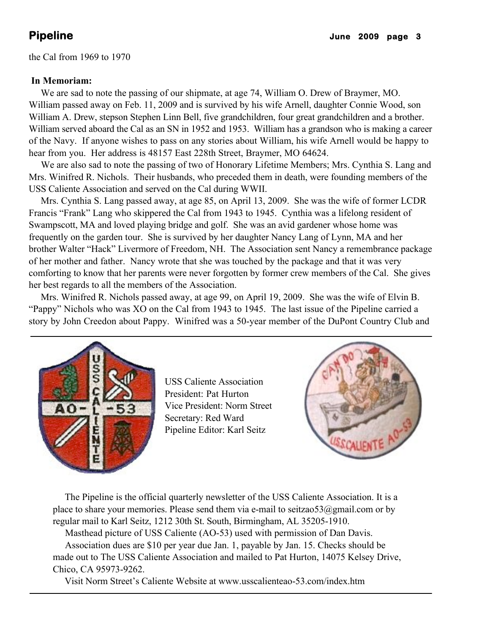the Cal from 1969 to 1970

## **In Memoriam:**

 We are sad to note the passing of our shipmate, at age 74, William O. Drew of Braymer, MO. William passed away on Feb. 11, 2009 and is survived by his wife Arnell, daughter Connie Wood, son William A. Drew, stepson Stephen Linn Bell, five grandchildren, four great grandchildren and a brother. William served aboard the Cal as an SN in 1952 and 1953. William has a grandson who is making a career of the Navy. If anyone wishes to pass on any stories about William, his wife Arnell would be happy to hear from you. Her address is 48157 East 228th Street, Braymer, MO 64624.

 We are also sad to note the passing of two of Honorary Lifetime Members; Mrs. Cynthia S. Lang and Mrs. Winifred R. Nichols. Their husbands, who preceded them in death, were founding members of the USS Caliente Association and served on the Cal during WWII.

 Mrs. Cynthia S. Lang passed away, at age 85, on April 13, 2009. She was the wife of former LCDR Francis "Frank" Lang who skippered the Cal from 1943 to 1945. Cynthia was a lifelong resident of Swampscott, MA and loved playing bridge and golf. She was an avid gardener whose home was frequently on the garden tour. She is survived by her daughter Nancy Lang of Lynn, MA and her brother Walter "Hack" Livermore of Freedom, NH. The Association sent Nancy a remembrance package of her mother and father. Nancy wrote that she was touched by the package and that it was very comforting to know that her parents were never forgotten by former crew members of the Cal. She gives her best regards to all the members of the Association.

 Mrs. Winifred R. Nichols passed away, at age 99, on April 19, 2009. She was the wife of Elvin B. "Pappy" Nichols who was XO on the Cal from 1943 to 1945. The last issue of the Pipeline carried a story by John Creedon about Pappy. Winifred was a 50-year member of the DuPont Country Club and



USS Caliente Association President: Pat Hurton Vice President: Norm Street Secretary: Red Ward Pipeline Editor: Karl Seitz



The Pipeline is the official quarterly newsletter of the USS Caliente Association. It is a place to share your memories. Please send them via e-mail to seitzao53@gmail.com or by regular mail to Karl Seitz, 1212 30th St. South, Birmingham, AL 35205-1910.

Masthead picture of USS Caliente (AO-53) used with permission of Dan Davis.

 Association dues are \$10 per year due Jan. 1, payable by Jan. 15. Checks should be made out to The USS Caliente Association and mailed to Pat Hurton, 14075 Kelsey Drive, Chico, CA 95973-9262.

Visit Norm Street's Caliente Website at www.usscalienteao-53.com/index.htm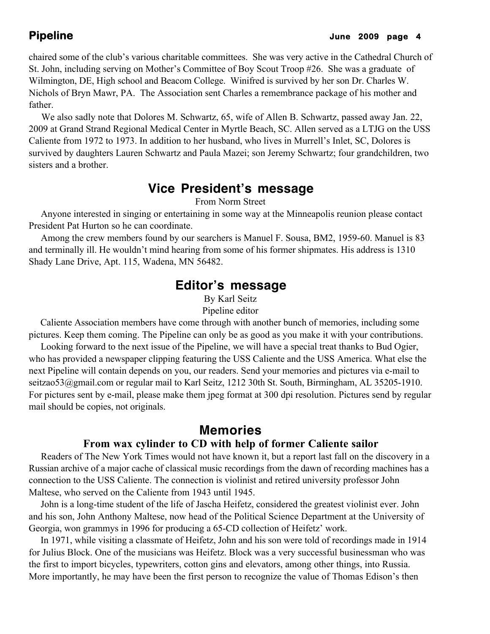chaired some of the club's various charitable committees. She was very active in the Cathedral Church of St. John, including serving on Mother's Committee of Boy Scout Troop #26. She was a graduate of Wilmington, DE, High school and Beacom College. Winifred is survived by her son Dr. Charles W. Nichols of Bryn Mawr, PA. The Association sent Charles a remembrance package of his mother and father.

We also sadly note that Dolores M. Schwartz, 65, wife of Allen B. Schwartz, passed away Jan. 22, 2009 at Grand Strand Regional Medical Center in Myrtle Beach, SC. Allen served as a LTJG on the USS Caliente from 1972 to 1973. In addition to her husband, who lives in Murrell's Inlet, SC, Dolores is survived by daughters Lauren Schwartz and Paula Mazei; son Jeremy Schwartz; four grandchildren, two sisters and a brother.

# **Vice President's message**

From Norm Street

Anyone interested in singing or entertaining in some way at the Minneapolis reunion please contact President Pat Hurton so he can coordinate.

 Among the crew members found by our searchers is Manuel F. Sousa, BM2, 1959-60. Manuel is 83 and terminally ill. He wouldn't mind hearing from some of his former shipmates. His address is 1310 Shady Lane Drive, Apt. 115, Wadena, MN 56482.

## **Editor's message**

By Karl Seitz

Pipeline editor

Caliente Association members have come through with another bunch of memories, including some pictures. Keep them coming. The Pipeline can only be as good as you make it with your contributions.

Looking forward to the next issue of the Pipeline, we will have a special treat thanks to Bud Ogier, who has provided a newspaper clipping featuring the USS Caliente and the USS America. What else the next Pipeline will contain depends on you, our readers. Send your memories and pictures via e-mail to seitzao53@gmail.com or regular mail to Karl Seitz, 1212 30th St. South, Birmingham, AL 35205-1910. For pictures sent by e-mail, please make them jpeg format at 300 dpi resolution. Pictures send by regular mail should be copies, not originals.

## **Memories**

## **From wax cylinder to CD with help of former Caliente sailor**

 Readers of The New York Times would not have known it, but a report last fall on the discovery in a Russian archive of a major cache of classical music recordings from the dawn of recording machines has a connection to the USS Caliente. The connection is violinist and retired university professor John Maltese, who served on the Caliente from 1943 until 1945.

John is a long-time student of the life of Jascha Heifetz, considered the greatest violinist ever. John and his son, John Anthony Maltese, now head of the Political Science Department at the University of Georgia, won grammys in 1996 for producing a 65-CD collection of Heifetz' work.

In 1971, while visiting a classmate of Heifetz, John and his son were told of recordings made in 1914 for Julius Block. One of the musicians was Heifetz. Block was a very successful businessman who was the first to import bicycles, typewriters, cotton gins and elevators, among other things, into Russia. More importantly, he may have been the first person to recognize the value of Thomas Edison's then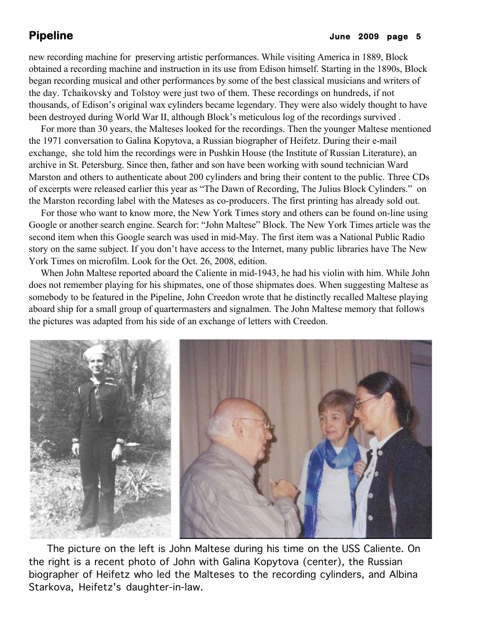new recording machine for preserving artistic performances. While visiting America in 1889, Block obtained a recording machine and instruction in its use from Edison himself. Starting in the 1890s, Block began recording musical and other performances by some of the best classical musicians and writers of the day. Tchaikovsky and Tolstoy were just two of them. These recordings on hundreds, if not thousands, of Edison's original wax cylinders became legendary. They were also widely thought to have been destroyed during World War II, although Block's meticulous log of the recordings survived .

 For more than 30 years, the Malteses looked for the recordings. Then the younger Maltese mentioned the 1971 conversation to Galina Kopytova, a Russian biographer of Heifetz. During their e-mail exchange, she told him the recordings were in Pushkin House (the Institute of Russian Literature), an archive in St. Petersburg. Since then, father and son have been working with sound technician Ward Marston and others to authenticate about 200 cylinders and bring their content to the public. Three CDs of excerpts were released earlier this year as "The Dawn of Recording, The Julius Block Cylinders." on the Marston recording label with the Mateses as co-producers. The first printing has already sold out.

 For those who want to know more, the New York Times story and others can be found on-line using Google or another search engine. Search for: "John Maltese" Block. The New York Times article was the second item when this Google search was used in mid-May. The first item was a National Public Radio story on the same subject. If you don't have access to the Internet, many public libraries have The New York Times on microfilm. Look for the Oct. 26, 2008, edition.

When John Maltese reported aboard the Caliente in mid-1943, he had his violin with him. While John does not remember playing for his shipmates, one of those shipmates does. When suggesting Maltese as somebody to be featured in the Pipeline, John Creedon wrote that he distinctly recalled Maltese playing aboard ship for a small group of quartermasters and signalmen. The John Maltese memory that follows the pictures was adapted from his side of an exchange of letters with Creedon.



The picture on the left is John Maltese during his time on the USS Caliente. On the right is a recent photo of John with Galina Kopytova (center), the Russian biographer of Heifetz who led the Malteses to the recording cylinders, and Albina Starkova, Heifetz's daughter-in-law.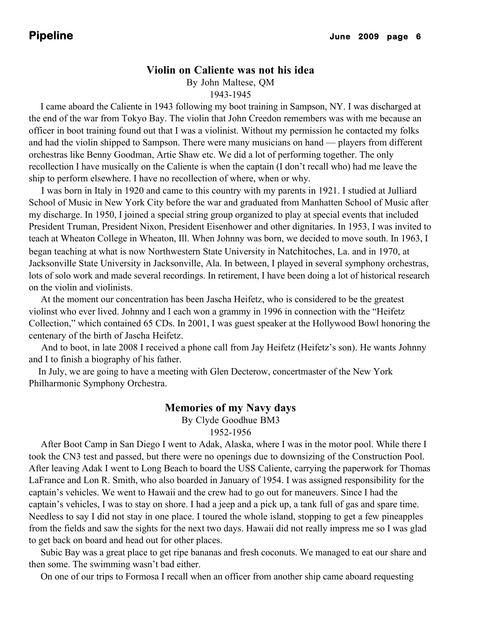### **Violin on Caliente was not his idea**

By John Maltese, QM 1943-1945

I came aboard the Caliente in 1943 following my boot training in Sampson, NY. I was discharged at the end of the war from Tokyo Bay. The violin that John Creedon remembers was with me because an officer in boot training found out that I was a violinist. Without my permission he contacted my folks and had the violin shipped to Sampson. There were many musicians on hand — players from different orchestras like Benny Goodman, Artie Shaw etc. We did a lot of performing together. The only recollection I have musically on the Caliente is when the captain (I don't recall who) had me leave the ship to perform elsewhere. I have no recollection of where, when or why.

I was born in Italy in 1920 and came to this country with my parents in 1921. I studied at Julliard School of Music in New York City before the war and graduated from Manhatten School of Music after my discharge. In 1950, I joined a special string group organized to play at special events that included President Truman, President Nixon, President Eisenhower and other dignitaries. In 1953, I was invited to teach at Wheaton College in Wheaton, Ill. When Johnny was born, we decided to move south. In 1963, I began teaching at what is now Northwestern State University in Natchitoches, La. and in 1970, at Jacksonville State University in Jacksonville, Ala. In between, I played in several symphony orchestras, lots of solo work and made several recordings. In retirement, I have been doing a lot of historical research on the violin and violinists.

 At the moment our concentration has been Jascha Heifetz, who is considered to be the greatest violinst who ever lived. Johnny and I each won a grammy in 1996 in connection with the "Heifetz Collection," which contained 65 CDs. In 2001, I was guest speaker at the Hollywood Bowl honoring the centenary of the birth of Jascha Heifetz.

And to boot, in late 2008 I received a phone call from Jay Heifetz (Heifetz's son). He wants Johnny and I to finish a biography of his father.

In July, we are going to have a meeting with Glen Decterow, concertmaster of the New York Philharmonic Symphony Orchestra.

## **Memories of my Navy days**

By Clyde Goodhue BM3 1952-1956

 After Boot Camp in San Diego I went to Adak, Alaska, where I was in the motor pool. While there I took the CN3 test and passed, but there were no openings due to downsizing of the Construction Pool. After leaving Adak I went to Long Beach to board the USS Caliente, carrying the paperwork for Thomas LaFrance and Lon R. Smith, who also boarded in January of 1954. I was assigned responsibility for the captain's vehicles. We went to Hawaii and the crew had to go out for maneuvers. Since I had the captain's vehicles, I was to stay on shore. I had a jeep and a pick up, a tank full of gas and spare time. Needless to say I did not stay in one place. I toured the whole island, stopping to get a few pineapples from the fields and saw the sights for the next two days. Hawaii did not really impress me so I was glad to get back on board and head out for other places.

Subic Bay was a great place to get ripe bananas and fresh coconuts. We managed to eat our share and then some. The swimming wasn't bad either.

On one of our trips to Formosa I recall when an officer from another ship came aboard requesting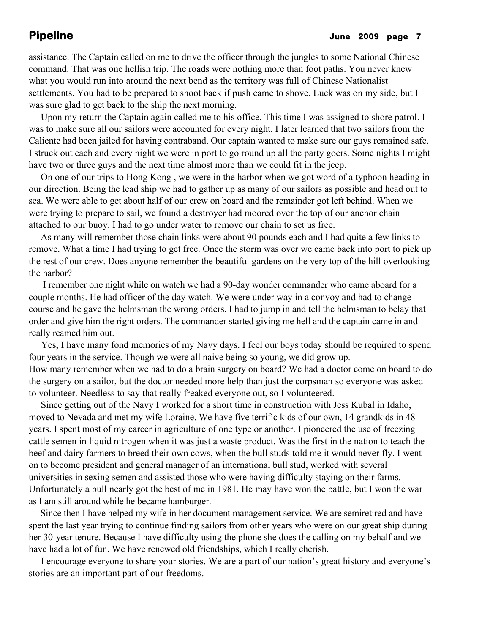assistance. The Captain called on me to drive the officer through the jungles to some National Chinese command. That was one hellish trip. The roads were nothing more than foot paths. You never knew what you would run into around the next bend as the territory was full of Chinese Nationalist settlements. You had to be prepared to shoot back if push came to shove. Luck was on my side, but I was sure glad to get back to the ship the next morning.

 Upon my return the Captain again called me to his office. This time I was assigned to shore patrol. I was to make sure all our sailors were accounted for every night. I later learned that two sailors from the Caliente had been jailed for having contraband. Our captain wanted to make sure our guys remained safe. I struck out each and every night we were in port to go round up all the party goers. Some nights I might have two or three guys and the next time almost more than we could fit in the jeep.

 On one of our trips to Hong Kong , we were in the harbor when we got word of a typhoon heading in our direction. Being the lead ship we had to gather up as many of our sailors as possible and head out to sea. We were able to get about half of our crew on board and the remainder got left behind. When we were trying to prepare to sail, we found a destroyer had moored over the top of our anchor chain attached to our buoy. I had to go under water to remove our chain to set us free.

As many will remember those chain links were about 90 pounds each and I had quite a few links to remove. What a time I had trying to get free. Once the storm was over we came back into port to pick up the rest of our crew. Does anyone remember the beautiful gardens on the very top of the hill overlooking the harbor?

I remember one night while on watch we had a 90-day wonder commander who came aboard for a couple months. He had officer of the day watch. We were under way in a convoy and had to change course and he gave the helmsman the wrong orders. I had to jump in and tell the helmsman to belay that order and give him the right orders. The commander started giving me hell and the captain came in and really reamed him out.

Yes, I have many fond memories of my Navy days. I feel our boys today should be required to spend four years in the service. Though we were all naive being so young, we did grow up. How many remember when we had to do a brain surgery on board? We had a doctor come on board to do the surgery on a sailor, but the doctor needed more help than just the corpsman so everyone was asked to volunteer. Needless to say that really freaked everyone out, so I volunteered.

 Since getting out of the Navy I worked for a short time in construction with Jess Kubal in Idaho, moved to Nevada and met my wife Loraine. We have five terrific kids of our own, 14 grandkids in 48 years. I spent most of my career in agriculture of one type or another. I pioneered the use of freezing cattle semen in liquid nitrogen when it was just a waste product. Was the first in the nation to teach the beef and dairy farmers to breed their own cows, when the bull studs told me it would never fly. I went on to become president and general manager of an international bull stud, worked with several universities in sexing semen and assisted those who were having difficulty staying on their farms. Unfortunately a bull nearly got the best of me in 1981. He may have won the battle, but I won the war as I am still around while he became hamburger.

Since then I have helped my wife in her document management service. We are semiretired and have spent the last year trying to continue finding sailors from other years who were on our great ship during her 30-year tenure. Because I have difficulty using the phone she does the calling on my behalf and we have had a lot of fun. We have renewed old friendships, which I really cherish.

 I encourage everyone to share your stories. We are a part of our nation's great history and everyone's stories are an important part of our freedoms.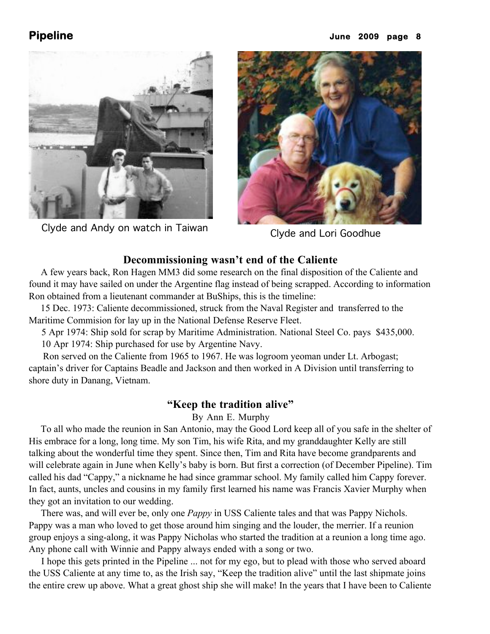

Clyde and Andy on watch in Taiwan Clyde and Lori Goodhue



### **Decommissioning wasn't end of the Caliente**

 A few years back, Ron Hagen MM3 did some research on the final disposition of the Caliente and found it may have sailed on under the Argentine flag instead of being scrapped. According to information Ron obtained from a lieutenant commander at BuShips, this is the timeline:

15 Dec. 1973: Caliente decommissioned, struck from the Naval Register and transferred to the Maritime Commision for lay up in the National Defense Reserve Fleet.

5 Apr 1974: Ship sold for scrap by Maritime Administration. National Steel Co. pays \$435,000.

10 Apr 1974: Ship purchased for use by Argentine Navy.

Ron served on the Caliente from 1965 to 1967. He was logroom yeoman under Lt. Arbogast; captain's driver for Captains Beadle and Jackson and then worked in A Division until transferring to shore duty in Danang, Vietnam.

### **"Keep the tradition alive"**

By Ann E. Murphy

To all who made the reunion in San Antonio, may the Good Lord keep all of you safe in the shelter of His embrace for a long, long time. My son Tim, his wife Rita, and my granddaughter Kelly are still talking about the wonderful time they spent. Since then, Tim and Rita have become grandparents and will celebrate again in June when Kelly's baby is born. But first a correction (of December Pipeline). Tim called his dad "Cappy," a nickname he had since grammar school. My family called him Cappy forever. In fact, aunts, uncles and cousins in my family first learned his name was Francis Xavier Murphy when they got an invitation to our wedding.

 There was, and will ever be, only one *Pappy* in USS Caliente tales and that was Pappy Nichols. Pappy was a man who loved to get those around him singing and the louder, the merrier. If a reunion group enjoys a sing-along, it was Pappy Nicholas who started the tradition at a reunion a long time ago. Any phone call with Winnie and Pappy always ended with a song or two.

I hope this gets printed in the Pipeline ... not for my ego, but to plead with those who served aboard the USS Caliente at any time to, as the Irish say, "Keep the tradition alive" until the last shipmate joins the entire crew up above. What a great ghost ship she will make! In the years that I have been to Caliente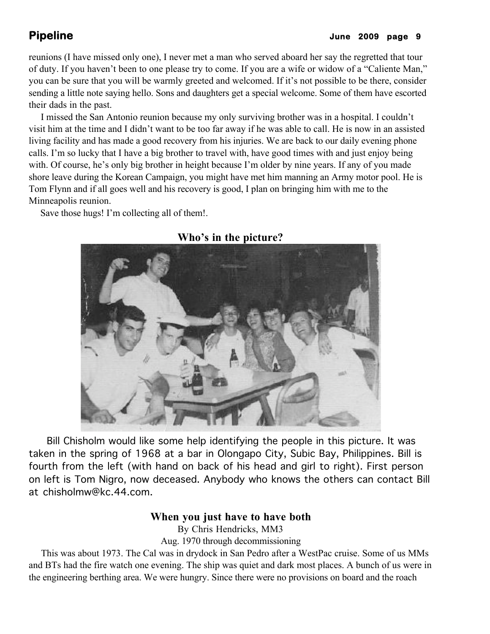reunions (I have missed only one), I never met a man who served aboard her say the regretted that tour of duty. If you haven't been to one please try to come. If you are a wife or widow of a "Caliente Man," you can be sure that you will be warmly greeted and welcomed. If it's not possible to be there, consider sending a little note saying hello. Sons and daughters get a special welcome. Some of them have escorted their dads in the past.

I missed the San Antonio reunion because my only surviving brother was in a hospital. I couldn't visit him at the time and I didn't want to be too far away if he was able to call. He is now in an assisted living facility and has made a good recovery from his injuries. We are back to our daily evening phone calls. I'm so lucky that I have a big brother to travel with, have good times with and just enjoy being with. Of course, he's only big brother in height because I'm older by nine years. If any of you made shore leave during the Korean Campaign, you might have met him manning an Army motor pool. He is Tom Flynn and if all goes well and his recovery is good, I plan on bringing him with me to the Minneapolis reunion.

Save those hugs! I'm collecting all of them!.



## **Who's in the picture?**

Bill Chisholm would like some help identifying the people in this picture. It was taken in the spring of 1968 at a bar in Olongapo City, Subic Bay, Philippines. Bill is fourth from the left (with hand on back of his head and girl to right). First person on left is Tom Nigro, now deceased. Anybody who knows the others can contact Bill at chisholmw@kc.44.com.

## **When you just have to have both**

By Chris Hendricks, MM3

Aug. 1970 through decommissioning

 This was about 1973. The Cal was in drydock in San Pedro after a WestPac cruise. Some of us MMs and BTs had the fire watch one evening. The ship was quiet and dark most places. A bunch of us were in the engineering berthing area. We were hungry. Since there were no provisions on board and the roach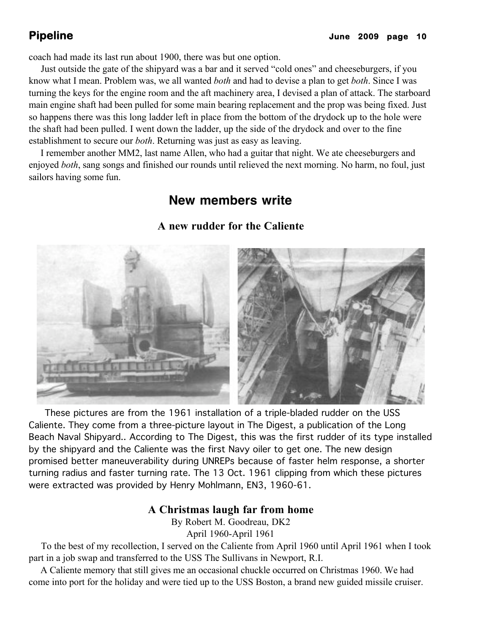coach had made its last run about 1900, there was but one option.

 Just outside the gate of the shipyard was a bar and it served "cold ones" and cheeseburgers, if you know what I mean. Problem was, we all wanted *both* and had to devise a plan to get *both*. Since I was turning the keys for the engine room and the aft machinery area, I devised a plan of attack. The starboard main engine shaft had been pulled for some main bearing replacement and the prop was being fixed. Just so happens there was this long ladder left in place from the bottom of the drydock up to the hole were the shaft had been pulled. I went down the ladder, up the side of the drydock and over to the fine establishment to secure our *both*. Returning was just as easy as leaving.

I remember another MM2, last name Allen, who had a guitar that night. We ate cheeseburgers and enjoyed *both*, sang songs and finished our rounds until relieved the next morning. No harm, no foul, just sailors having some fun.

# **New members write**



## **A new rudder for the Caliente**

These pictures are from the 1961 installation of a triple-bladed rudder on the USS Caliente. They come from a three-picture layout in The Digest, a publication of the Long Beach Naval Shipyard.. According to The Digest, this was the first rudder of its type installed by the shipyard and the Caliente was the first Navy oiler to get one. The new design promised better maneuverability during UNREPs because of faster helm response, a shorter turning radius and faster turning rate. The 13 Oct. 1961 clipping from which these pictures were extracted was provided by Henry Mohlmann, EN3, 1960-61.

## **A Christmas laugh far from home**

By Robert M. Goodreau, DK2 April 1960-April 1961

 To the best of my recollection, I served on the Caliente from April 1960 until April 1961 when I took part in a job swap and transferred to the USS The Sullivans in Newport, R.I.

A Caliente memory that still gives me an occasional chuckle occurred on Christmas 1960. We had come into port for the holiday and were tied up to the USS Boston, a brand new guided missile cruiser.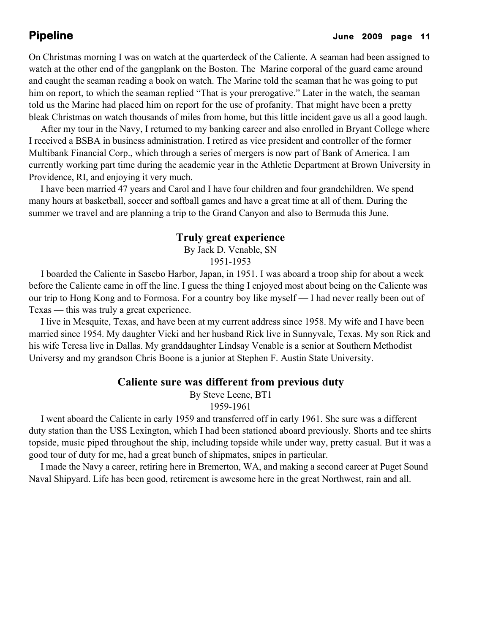On Christmas morning I was on watch at the quarterdeck of the Caliente. A seaman had been assigned to watch at the other end of the gangplank on the Boston. The Marine corporal of the guard came around and caught the seaman reading a book on watch. The Marine told the seaman that he was going to put him on report, to which the seaman replied "That is your prerogative." Later in the watch, the seaman told us the Marine had placed him on report for the use of profanity. That might have been a pretty bleak Christmas on watch thousands of miles from home, but this little incident gave us all a good laugh.

After my tour in the Navy, I returned to my banking career and also enrolled in Bryant College where I received a BSBA in business administration. I retired as vice president and controller of the former Multibank Financial Corp., which through a series of mergers is now part of Bank of America. I am currently working part time during the academic year in the Athletic Department at Brown University in Providence, RI, and enjoying it very much.

I have been married 47 years and Carol and I have four children and four grandchildren. We spend many hours at basketball, soccer and softball games and have a great time at all of them. During the summer we travel and are planning a trip to the Grand Canyon and also to Bermuda this June.

### **Truly great experience**

By Jack D. Venable, SN 1951-1953

 I boarded the Caliente in Sasebo Harbor, Japan, in 1951. I was aboard a troop ship for about a week before the Caliente came in off the line. I guess the thing I enjoyed most about being on the Caliente was our trip to Hong Kong and to Formosa. For a country boy like myself — I had never really been out of Texas — this was truly a great experience.

I live in Mesquite, Texas, and have been at my current address since 1958. My wife and I have been married since 1954. My daughter Vicki and her husband Rick live in Sunnyvale, Texas. My son Rick and his wife Teresa live in Dallas. My granddaughter Lindsay Venable is a senior at Southern Methodist Universy and my grandson Chris Boone is a junior at Stephen F. Austin State University.

### **Caliente sure was different from previous duty**

By Steve Leene, BT1

1959-1961

I went aboard the Caliente in early 1959 and transferred off in early 1961. She sure was a different duty station than the USS Lexington, which I had been stationed aboard previously. Shorts and tee shirts topside, music piped throughout the ship, including topside while under way, pretty casual. But it was a good tour of duty for me, had a great bunch of shipmates, snipes in particular.

I made the Navy a career, retiring here in Bremerton, WA, and making a second career at Puget Sound Naval Shipyard. Life has been good, retirement is awesome here in the great Northwest, rain and all.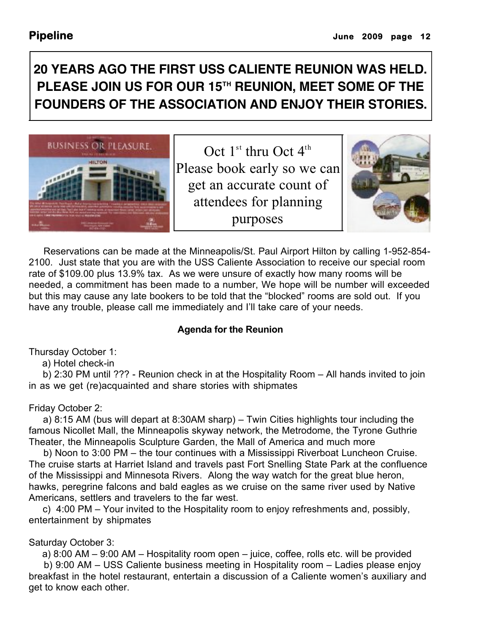**20 YEARS AGO THE FIRST USS CALIENTE REUNION WAS HELD. PLEASE JOIN US FOR OUR 15TH REUNION, MEET SOME OF THE FOUNDERS OF THE ASSOCIATION AND ENJOY THEIR STORIES.**



Oct  $1^{\text{st}}$  thru Oct  $4^{\text{th}}$ Please book early so we can get an accurate count of attendees for planning purposes



Reservations can be made at the Minneapolis/St. Paul Airport Hilton by calling 1-952-854- 2100. Just state that you are with the USS Caliente Association to receive our special room rate of \$109.00 plus 13.9% tax. As we were unsure of exactly how many rooms will be needed, a commitment has been made to a number, We hope will be number will exceeded but this may cause any late bookers to be told that the "blocked" rooms are sold out. If you have any trouble, please call me immediately and I'll take care of your needs.

## **Agenda for the Reunion**

Thursday October 1:

a) Hotel check-in

b) 2:30 PM until ??? - Reunion check in at the Hospitality Room – All hands invited to join in as we get (re)acquainted and share stories with shipmates

## Friday October 2:

a) 8:15 AM (bus will depart at 8:30AM sharp) – Twin Cities highlights tour including the famous Nicollet Mall, the Minneapolis skyway network, the Metrodome, the Tyrone Guthrie Theater, the Minneapolis Sculpture Garden, the Mall of America and much more

b) Noon to 3:00 PM – the tour continues with a Mississippi Riverboat Luncheon Cruise. The cruise starts at Harriet Island and travels past Fort Snelling State Park at the confluence of the Mississippi and Minnesota Rivers. Along the way watch for the great blue heron, hawks, peregrine falcons and bald eagles as we cruise on the same river used by Native Americans, settlers and travelers to the far west.

c) 4:00 PM – Your invited to the Hospitality room to enjoy refreshments and, possibly, entertainment by shipmates

## Saturday October 3:

 a) 8:00 AM – 9:00 AM – Hospitality room open – juice, coffee, rolls etc. will be provided b) 9:00 AM – USS Caliente business meeting in Hospitality room – Ladies please enjoy breakfast in the hotel restaurant, entertain a discussion of a Caliente women's auxiliary and get to know each other.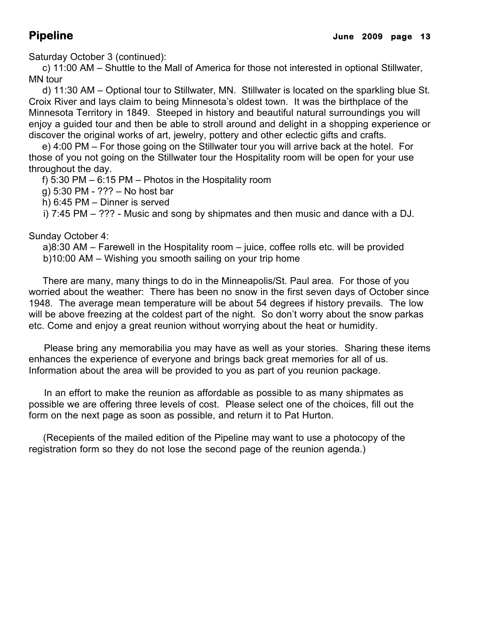Saturday October 3 (continued):

 c) 11:00 AM – Shuttle to the Mall of America for those not interested in optional Stillwater, MN tour

d) 11:30 AM – Optional tour to Stillwater, MN. Stillwater is located on the sparkling blue St. Croix River and lays claim to being Minnesota's oldest town. It was the birthplace of the Minnesota Territory in 1849. Steeped in history and beautiful natural surroundings you will enjoy a guided tour and then be able to stroll around and delight in a shopping experience or discover the original works of art, jewelry, pottery and other eclectic gifts and crafts.

 e) 4:00 PM – For those going on the Stillwater tour you will arrive back at the hotel. For those of you not going on the Stillwater tour the Hospitality room will be open for your use throughout the day.

f) 5:30 PM – 6:15 PM – Photos in the Hospitality room

g) 5:30 PM - ??? – No host bar

h) 6:45 PM – Dinner is served

i) 7:45 PM – ??? - Music and song by shipmates and then music and dance with a DJ.

Sunday October 4:

a)8:30 AM – Farewell in the Hospitality room – juice, coffee rolls etc. will be provided b)10:00 AM – Wishing you smooth sailing on your trip home

There are many, many things to do in the Minneapolis/St. Paul area. For those of you worried about the weather: There has been no snow in the first seven days of October since 1948. The average mean temperature will be about 54 degrees if history prevails. The low will be above freezing at the coldest part of the night. So don't worry about the snow parkas etc. Come and enjoy a great reunion without worrying about the heat or humidity.

Please bring any memorabilia you may have as well as your stories. Sharing these items enhances the experience of everyone and brings back great memories for all of us. Information about the area will be provided to you as part of you reunion package.

In an effort to make the reunion as affordable as possible to as many shipmates as possible we are offering three levels of cost. Please select one of the choices, fill out the form on the next page as soon as possible, and return it to Pat Hurton.

(Recepients of the mailed edition of the Pipeline may want to use a photocopy of the registration form so they do not lose the second page of the reunion agenda.)